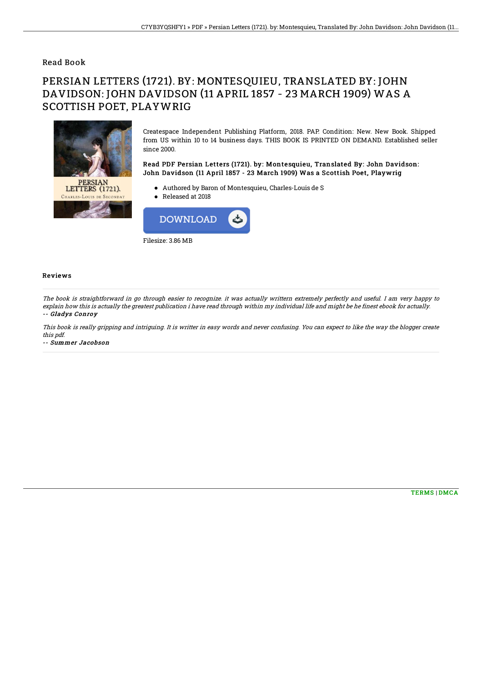### Read Book

# PERSIAN LETTERS (1721). BY: MONTESQUIEU, TRANSLATED BY: JOHN DAVIDSON: JOHN DAVIDSON (11 APRIL 1857 - 23 MARCH 1909) WAS A SCOTTISH POET, PLAYWRIG



Createspace Independent Publishing Platform, 2018. PAP. Condition: New. New Book. Shipped from US within 10 to 14 business days. THIS BOOK IS PRINTED ON DEMAND. Established seller since 2000.

#### Read PDF Persian Letters (1721). by: Montesquieu, Translated By: John Davidson: John Davidson (11 April 1857 - 23 March 1909) Was a Scottish Poet, Playwrig

- Authored by Baron of Montesquieu, Charles-Louis de S
- Released at 2018



#### Reviews

The book is straightforward in go through easier to recognize. it was actually writtern extremely perfectly and useful. I am very happy to explain how this is actually the greatest publication i have read through within my individual life and might be he finest ebook for actually. -- Gladys Conroy

This book is really gripping and intriguing. It is writter in easy words and never confusing. You can expect to like the way the blogger create this pdf.

-- Summer Jacobson